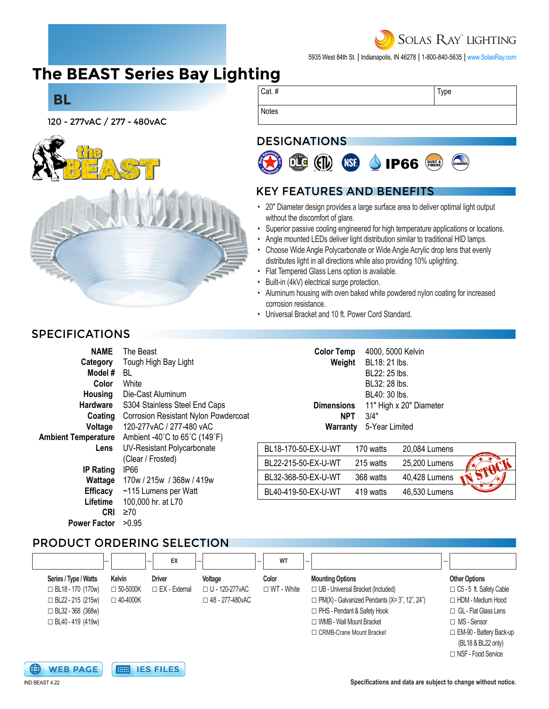# **SOLAS RAY LIGHTING**

5935 West 84th St. | Indianapolis, IN 46278 | 1-800-840-5635 | [www.SolasRay.com](https://www.solasray.com/)

# **[The BEAST Series B](https://www.solasray.com/product-catalog/industrial-lighting/bay-lighting/bay-lighting/)ay Lighting**



### DESIGNATIONS



### KEY FEATURES AND BENEFITS

- 20" Diameter design provides a large surface area to deliver optimal light output without the discomfort of glare.
- Superior passive cooling engineered for high temperature applications or locations.
- Angle mounted LEDs deliver light distribution similar to traditional HID lamps.
- Choose Wide Angle Polycarbonate or Wide Angle Acrylic drop lens that evenly distributes light in all directions while also providing 10% uplighting.
- Flat Tempered Glass Lens option is available.
- Built-in (4kV) electrical surge protection.
- Aluminum housing with oven baked white powdered nylon coating for increased corrosion resistance.
- Universal Bracket and 10 ft. Power Cord Standard.

| <b>NAME</b>        | The Beast                                                      | <b>Color Temp</b>   | 4000, 5000 Kelvin  |        |
|--------------------|----------------------------------------------------------------|---------------------|--------------------|--------|
| Category           | Tough High Bay Light                                           | Weight              | BL18: 21 lbs.      |        |
| Model#             | BL.                                                            |                     | BL22: 25 lbs.      |        |
| Color              | White                                                          |                     | BL32: 28 lbs.      |        |
| Housing            | Die-Cast Aluminum                                              |                     | BL40: 30 lbs.      |        |
| <b>Hardware</b>    | S304 Stainless Steel End Caps                                  | <b>Dimensions</b>   | 11" High x 20" Dia |        |
| Coating            | <b>Corrosion Resistant Nylon Powdercoat</b>                    | <b>NPT</b>          | 3/4"               |        |
| Voltage            | 120-277vAC / 277-480 vAC                                       | Warranty            | 5-Year Limited     |        |
| nbient Temperature | Ambient -40 $^{\circ}$ C to 65 $^{\circ}$ C (149 $^{\circ}$ F) |                     |                    |        |
| Lens               | UV-Resistant Polycarbonate<br>(Clear / Frosted)                | BL18-170-50-EX-U-WT | 170 watts          | 20,084 |
|                    |                                                                | BL22-215-50-EX-U-WT | 215 watts          | 25,200 |
| <b>IP Rating</b>   | IP <sub>66</sub>                                               |                     |                    |        |
| Wattage            | 170w / 215w / 368w / 419w                                      | BL32-368-50-EX-U-WT | 368 watts          | 40,428 |
| <b>Efficacy</b>    | ~115 Lumens per Watt                                           | BL40-419-50-EX-U-WT | 419 watts          | 46,530 |
| Lifetime           | 100,000 hr. at L70                                             |                     |                    |        |
| CRI                | $\geq 70$                                                      |                     |                    |        |

# PRODUCT ORDERING SELECTION

|                          | -               | EX                   |                         | WT<br>-           |                                                      | -                              |
|--------------------------|-----------------|----------------------|-------------------------|-------------------|------------------------------------------------------|--------------------------------|
| Series / Type / Watts    | Kelvin          | <b>Driver</b>        | Voltage                 | Color             | <b>Mounting Options</b>                              | <b>Other Options</b>           |
| $\Box$ BL18 - 170 (170w) | $\Box$ 50-5000K | $\Box$ EX - External | □ U - 120-277vAC        | $\Box$ WT - White | □ UB - Universal Bracket (Included)                  | $\Box$ C5 - 5 ft. Safety Cable |
| $\Box$ BL22 - 215 (215w) | $\Box$ 40-4000K |                      | $\Box$ 48 - 277-480 VAC |                   | $\Box$ PM(X) - Galvanized Pendants (X= 3", 12", 24") | $\Box$ HDM - Medium Hood       |
| $\Box$ BL32 - 368 (368w) |                 |                      |                         |                   | □ PHS - Pendant & Safety Hook                        | $\Box$ GL - Flat Glass Lens    |
| $\Box$ BL40 - 419 (419w) |                 |                      |                         |                   | □ WMB - Wall Mount Bracket                           | $\Box$ MS - Sensor             |
|                          |                 |                      |                         |                   | □ CRMB-Crane Mount Bracket                           | $\Box$ EM-90 - Battery Back-up |
|                          |                 |                      |                         |                   |                                                      | (BL18 & BL22 only)             |

□ NSF - Food Service







#### **Specifications and data are subject to change without notice.**

20" Diameter

20,084 Lumens 25.200 Lumens 40,428 Lumens 46,530 Lumens

### SPECIFICATIONS

**BL**

| NAME                       | The Beast                                   |
|----------------------------|---------------------------------------------|
| Category                   | Tough High Bay Light                        |
| Model #                    | BL                                          |
| Color                      | White                                       |
| Housing                    | Die-Cast Aluminum                           |
| <b>Hardware</b>            | S304 Stainless Steel End Caps               |
| Coating                    | <b>Corrosion Resistant Nylon Powdercoat</b> |
| Voltage                    | 120-277yAC / 277-480 yAC                    |
| <b>Ambient Temperature</b> | Ambient -40°C to 65°C (149°F)               |
| Lens                       | UV-Resistant Polycarbonate                  |
|                            | (Clear / Frosted)                           |
| <b>IP Rating</b>           | IP66                                        |
| Wattage                    | 170w / 215w / 368w / 419w                   |
| <b>Efficacy</b>            | ~115 Lumens per Watt                        |
| Lifetime                   | 100,000 hr. at L70                          |
| CRII                       | ≥70                                         |
| <b>Power Factor</b>        | >0.95                                       |